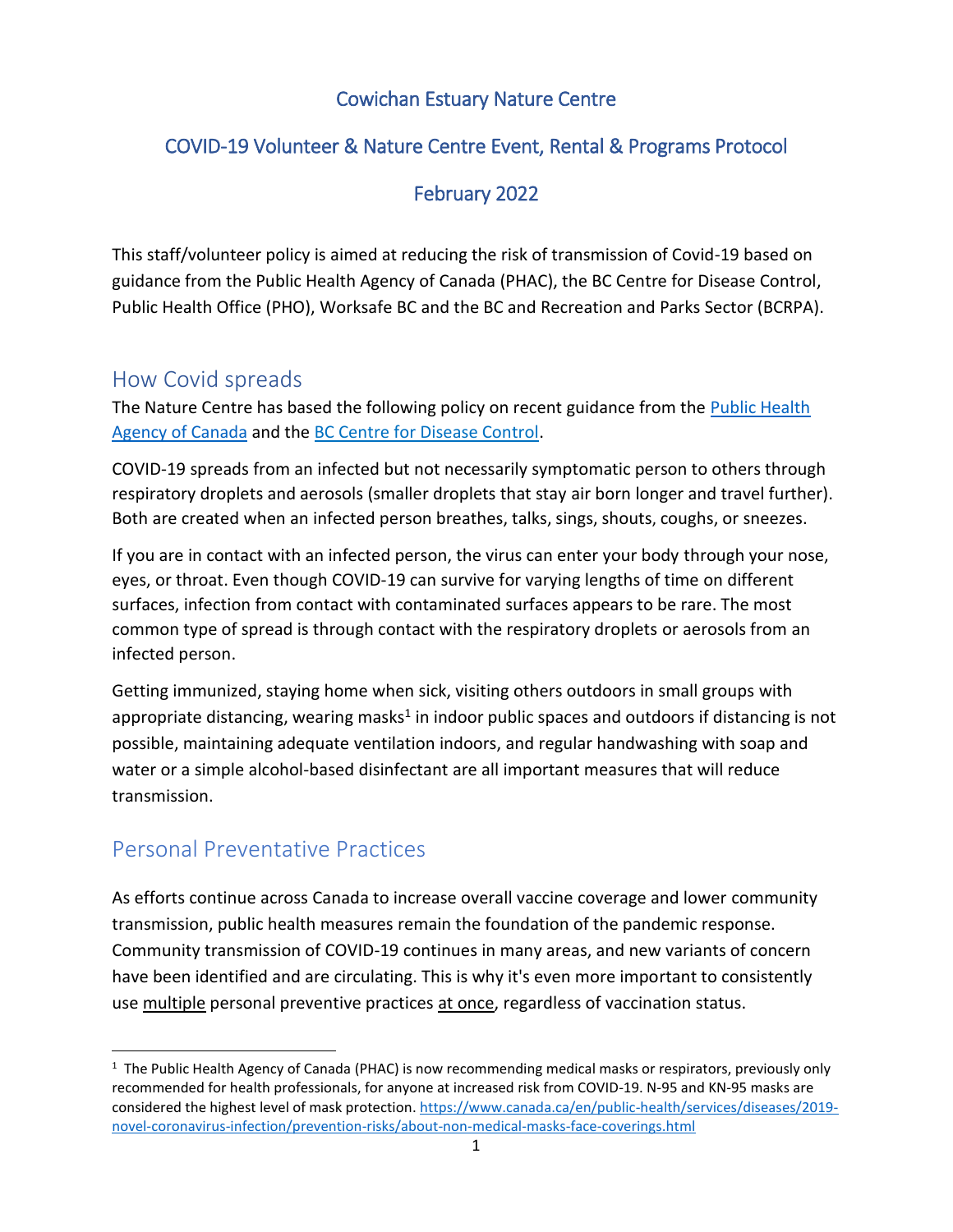#### Cowichan Estuary Nature Centre

#### COVID-19 Volunteer & Nature Centre Event, Rental & Programs Protocol

#### February 2022

This staff/volunteer policy is aimed at reducing the risk of transmission of Covid-19 based on guidance from the Public Health Agency of Canada (PHAC), the BC Centre for Disease Control, Public Health Office (PHO), Worksafe BC and the BC and Recreation and Parks Sector (BCRPA).

### How Covid spreads

The Nature Centre has based the following policy on recent guidance from the **Public Health** [Agency of Canada](https://www.canada.ca/en/public-health/services/diseases/2019-novel-coronavirus-infection/prevention-risks.html) and the [BC Centre for Disease Control.](http://www.bccdc.ca/health-info/diseases-conditions/covid-19/about-covid-19/how-it-spreads)

COVID-19 spreads from an infected but not necessarily symptomatic person to others through respiratory droplets and aerosols (smaller droplets that stay air born longer and travel further). Both are created when an infected person breathes, talks, sings, shouts, coughs, or sneezes.

If you are in contact with an infected person, the virus can enter your body through your nose, eyes, or throat. Even though COVID-19 can survive for varying lengths of time on different surfaces, infection from contact with contaminated surfaces appears to be rare. The most common type of spread is through contact with the respiratory droplets or aerosols from an infected person.

Getting immunized, staying home when sick, visiting others outdoors in small groups with appropriate distancing, wearing masks<sup>1</sup> in indoor public spaces and outdoors if distancing is not possible, maintaining adequate ventilation indoors, and regular handwashing with soap and water or a simple alcohol-based disinfectant are all important measures that will reduce transmission.

## Personal Preventative Practices

 $\overline{a}$ 

As efforts continue across Canada to increase overall vaccine coverage and lower community transmission, public health measures remain the foundation of the pandemic response. Community transmission of COVID-19 continues in many areas, and new variants of concern have been identified and are circulating. This is why it's even more important to consistently use multiple personal preventive practices at once, regardless of vaccination status.

<sup>&</sup>lt;sup>1</sup> The Public Health Agency of Canada (PHAC) is now recommending medical masks or respirators, previously only recommended for health professionals, for anyone at increased risk from COVID-19. N-95 and KN-95 masks are considered the highest level of mask protection. [https://www.canada.ca/en/public-health/services/diseases/2019](https://www.canada.ca/en/public-health/services/diseases/2019-novel-coronavirus-infection/prevention-risks/about-non-medical-masks-face-coverings.html) [novel-coronavirus-infection/prevention-risks/about-non-medical-masks-face-coverings.html](https://www.canada.ca/en/public-health/services/diseases/2019-novel-coronavirus-infection/prevention-risks/about-non-medical-masks-face-coverings.html)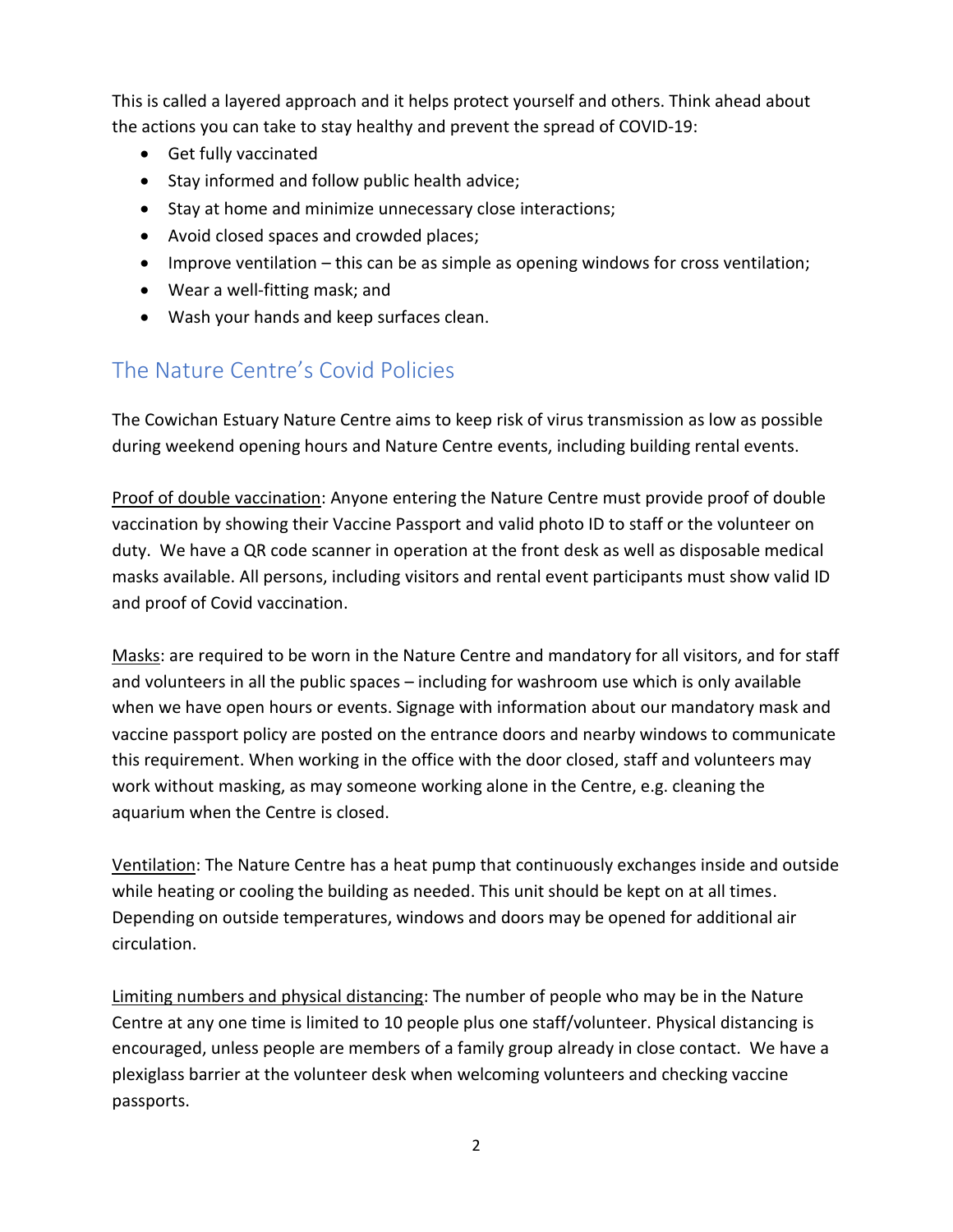This is called a layered approach and it helps protect yourself and others. Think ahead about the actions you can take to stay healthy and prevent the spread of COVID-19:

- Get fully vaccinated
- Stay informed and follow public health advice;
- Stay at home and minimize unnecessary close interactions;
- Avoid closed spaces and crowded places;
- $\bullet$  Improve ventilation this can be as simple as opening windows for cross ventilation;
- Wear a well-fitting mask; and
- Wash your hands and keep surfaces clean.

## The Nature Centre's Covid Policies

The Cowichan Estuary Nature Centre aims to keep risk of virus transmission as low as possible during weekend opening hours and Nature Centre events, including building rental events.

Proof of double vaccination: Anyone entering the Nature Centre must provide proof of double vaccination by showing their Vaccine Passport and valid photo ID to staff or the volunteer on duty. We have a QR code scanner in operation at the front desk as well as disposable medical masks available. All persons, including visitors and rental event participants must show valid ID and proof of Covid vaccination.

Masks: are required to be worn in the Nature Centre and mandatory for all visitors, and for staff and volunteers in all the public spaces – including for washroom use which is only available when we have open hours or events. Signage with information about our mandatory mask and vaccine passport policy are posted on the entrance doors and nearby windows to communicate this requirement. When working in the office with the door closed, staff and volunteers may work without masking, as may someone working alone in the Centre, e.g. cleaning the aquarium when the Centre is closed.

Ventilation: The Nature Centre has a heat pump that continuously exchanges inside and outside while heating or cooling the building as needed. This unit should be kept on at all times. Depending on outside temperatures, windows and doors may be opened for additional air circulation.

Limiting numbers and physical distancing: The number of people who may be in the Nature Centre at any one time is limited to 10 people plus one staff/volunteer. Physical distancing is encouraged, unless people are members of a family group already in close contact. We have a plexiglass barrier at the volunteer desk when welcoming volunteers and checking vaccine passports.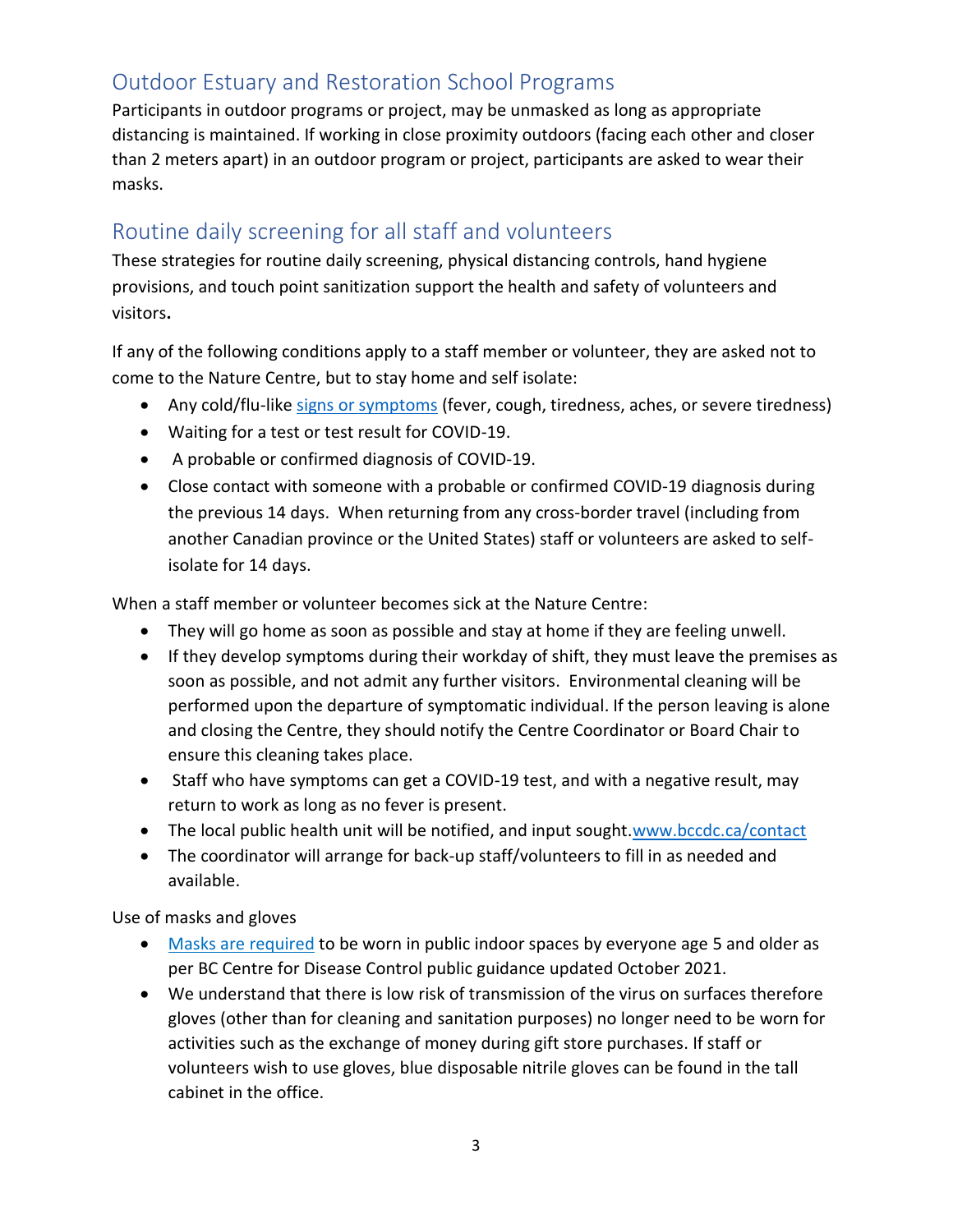# Outdoor Estuary and Restoration School Programs

Participants in outdoor programs or project, may be unmasked as long as appropriate distancing is maintained. If working in close proximity outdoors (facing each other and closer than 2 meters apart) in an outdoor program or project, participants are asked to wear their masks.

## Routine daily screening for all staff and volunteers

These strategies for routine daily screening, physical distancing controls, hand hygiene provisions, and touch point sanitization support the health and safety of volunteers and visitors**.**

If any of the following conditions apply to a staff member or volunteer, they are asked not to come to the Nature Centre, but to stay home and self isolate:

- Any cold/flu-like [signs or symptoms](https://www.canada.ca/en/public-health/services/diseases/2019-novel-coronavirus-infection/symptoms.html#s) (fever, cough, tiredness, aches, or severe tiredness)
- Waiting for a test or test result for COVID-19.
- A probable or confirmed diagnosis of COVID-19.
- Close contact with someone with a probable or confirmed COVID-19 diagnosis during the previous 14 days. When returning from any cross-border travel (including from another Canadian province or the United States) staff or volunteers are asked to selfisolate for 14 days.

When a staff member or volunteer becomes sick at the Nature Centre:

- They will go home as soon as possible and stay at home if they are feeling unwell.
- If they develop symptoms during their workday of shift, they must leave the premises as soon as possible, and not admit any further visitors. Environmental cleaning will be performed upon the departure of symptomatic individual. If the person leaving is alone and closing the Centre, they should notify the Centre Coordinator or Board Chair to ensure this cleaning takes place.
- Staff who have symptoms can get a COVID-19 test, and with a negative result, may return to work as long as no fever is present.
- The local public health unit will be notified, and input sought[.www.bccdc.ca/contact](http://www.bccdc.ca/contact)
- The coordinator will arrange for back-up staff/volunteers to fill in as needed and available.

Use of masks and gloves

- [Masks are required](https://www2.gov.bc.ca/gov/content/covid-19/info/restrictions#masks) to be worn in public indoor spaces by everyone age 5 and older as per BC Centre for Disease Control public guidance updated October 2021.
- We understand that there is low risk of transmission of the virus on surfaces therefore gloves (other than for cleaning and sanitation purposes) no longer need to be worn for activities such as the exchange of money during gift store purchases. If staff or volunteers wish to use gloves, blue disposable nitrile gloves can be found in the tall cabinet in the office.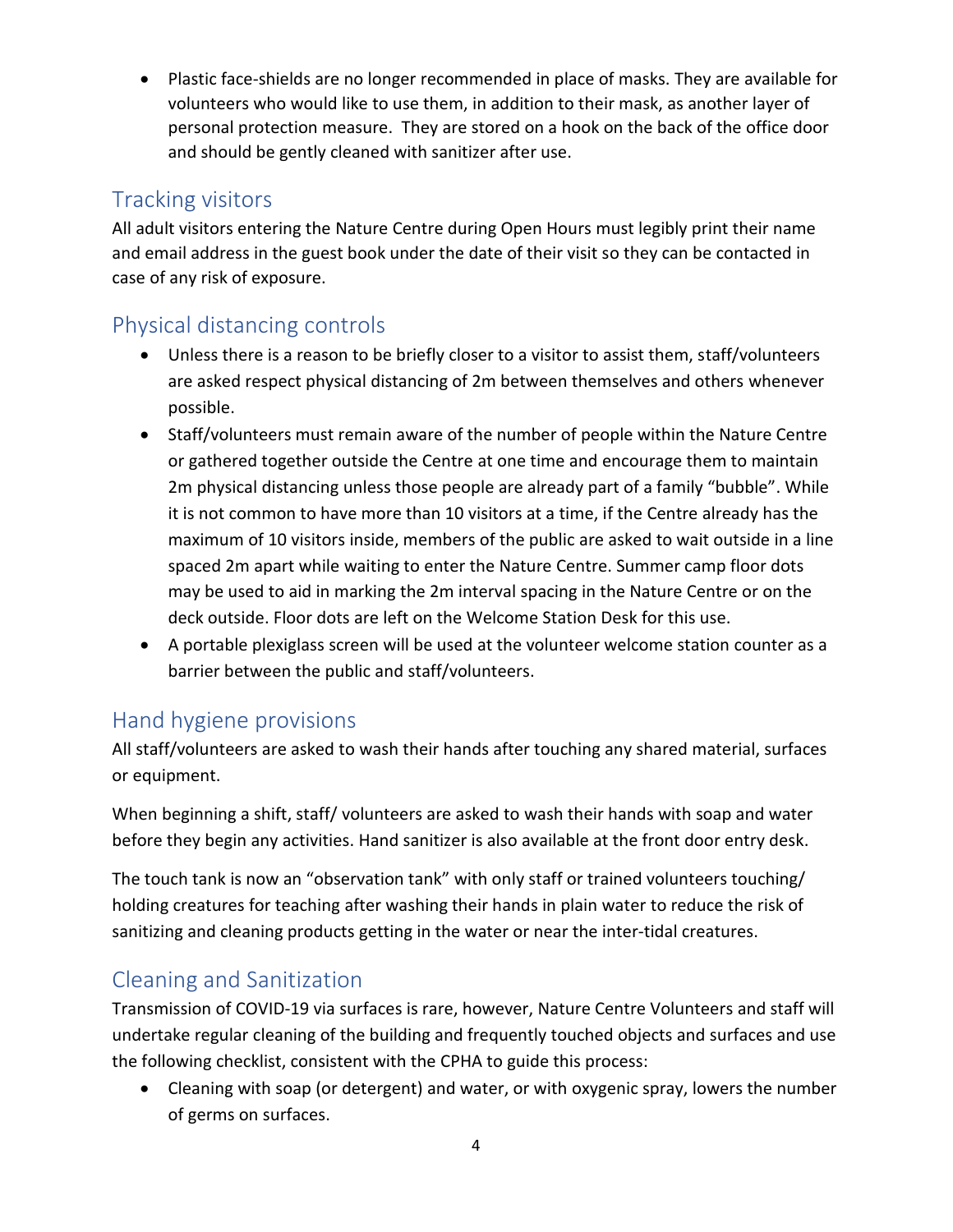Plastic face-shields are no longer recommended in place of masks. They are available for volunteers who would like to use them, in addition to their mask, as another layer of personal protection measure. They are stored on a hook on the back of the office door and should be gently cleaned with sanitizer after use.

#### Tracking visitors

All adult visitors entering the Nature Centre during Open Hours must legibly print their name and email address in the guest book under the date of their visit so they can be contacted in case of any risk of exposure.

## Physical distancing controls

- Unless there is a reason to be briefly closer to a visitor to assist them, staff/volunteers are asked respect physical distancing of 2m between themselves and others whenever possible.
- Staff/volunteers must remain aware of the number of people within the Nature Centre or gathered together outside the Centre at one time and encourage them to maintain 2m physical distancing unless those people are already part of a family "bubble". While it is not common to have more than 10 visitors at a time, if the Centre already has the maximum of 10 visitors inside, members of the public are asked to wait outside in a line spaced 2m apart while waiting to enter the Nature Centre. Summer camp floor dots may be used to aid in marking the 2m interval spacing in the Nature Centre or on the deck outside. Floor dots are left on the Welcome Station Desk for this use.
- A portable plexiglass screen will be used at the volunteer welcome station counter as a barrier between the public and staff/volunteers.

## Hand hygiene provisions

All staff/volunteers are asked to wash their hands after touching any shared material, surfaces or equipment.

When beginning a shift, staff/ volunteers are asked to wash their hands with soap and water before they begin any activities. Hand sanitizer is also available at the front door entry desk.

The touch tank is now an "observation tank" with only staff or trained volunteers touching/ holding creatures for teaching after washing their hands in plain water to reduce the risk of sanitizing and cleaning products getting in the water or near the inter-tidal creatures.

## Cleaning and Sanitization

Transmission of COVID-19 via surfaces is rare, however, Nature Centre Volunteers and staff will undertake regular cleaning of the building and frequently touched objects and surfaces and use the following checklist, consistent with the CPHA to guide this process:

 Cleaning with soap (or detergent) and water, or with oxygenic spray, lowers the number of germs on surfaces.